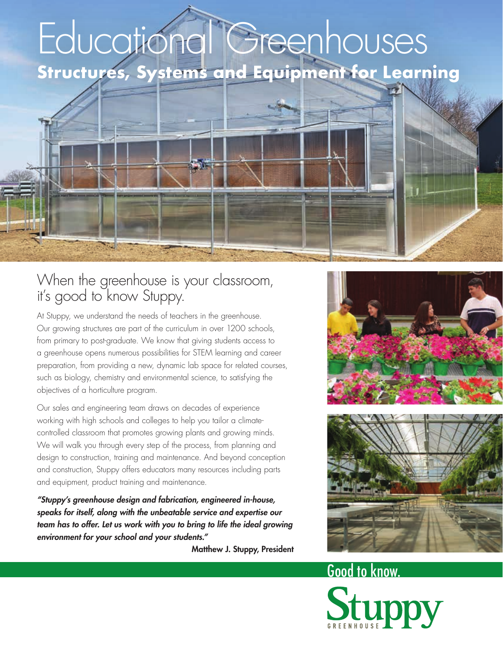# Educational Greenhouses **Structures, Systems and Equipment for Learning**

#### When the greenhouse is your classroom, it's good to know Stuppy.

At Stuppy, we understand the needs of teachers in the greenhouse. Our growing structures are part of the curriculum in over 1200 schools, from primary to post-graduate. We know that giving students access to a greenhouse opens numerous possibilities for STEM learning and career preparation, from providing a new, dynamic lab space for related courses, such as biology, chemistry and environmental science, to satisfying the objectives of a horticulture program.

Our sales and engineering team draws on decades of experience working with high schools and colleges to help you tailor a climatecontrolled classroom that promotes growing plants and growing minds. We will walk you through every step of the process, from planning and design to construction, training and maintenance. And beyond conception and construction, Stuppy offers educators many resources including parts and equipment, product training and maintenance.

*"Stuppy's greenhouse design and fabrication, engineered in-house, speaks for itself, along with the unbeatable service and expertise our*  team has to offer. Let us work with you to bring to life the ideal growing *environment for your school and your students."*

Matthew J. Stuppy, President





# Good to know.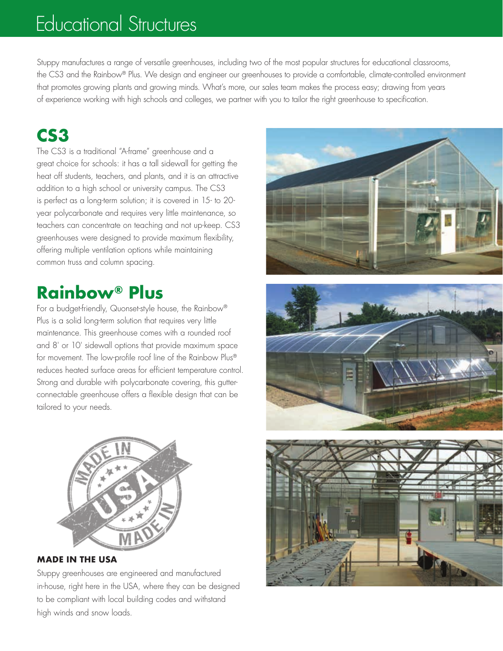# Educational Structures

Stuppy manufactures a range of versatile greenhouses, including two of the most popular structures for educational classrooms, the CS3 and the Rainbow® Plus. We design and engineer our greenhouses to provide a comfortable, climate-controlled environment that promotes growing plants and growing minds. What's more, our sales team makes the process easy; drawing from years of experience working with high schools and colleges, we partner with you to tailor the right greenhouse to specification.

#### **CS3**

The CS3 is a traditional "A-frame" greenhouse and a great choice for schools: it has a tall sidewall for getting the heat off students, teachers, and plants, and it is an attractive addition to a high school or university campus. The CS3 is perfect as a long-term solution; it is covered in 15- to 20 year polycarbonate and requires very little maintenance, so teachers can concentrate on teaching and not up-keep. CS3 greenhouses were designed to provide maximum flexibility, offering multiple ventilation options while maintaining common truss and column spacing.

#### **Rainbow® Plus**

For a budget-friendly, Quonset-style house, the Rainbow® Plus is a solid long-term solution that requires very little maintenance. This greenhouse comes with a rounded roof and 8' or 10' sidewall options that provide maximum space for movement. The low-profile roof line of the Rainbow Plus® reduces heated surface areas for efficient temperature control. Strong and durable with polycarbonate covering, this gutterconnectable greenhouse offers a flexible design that can be tailored to your needs.



**MADE IN THE USA**

Stuppy greenhouses are engineered and manufactured in-house, right here in the USA, where they can be designed to be compliant with local building codes and withstand high winds and snow loads.





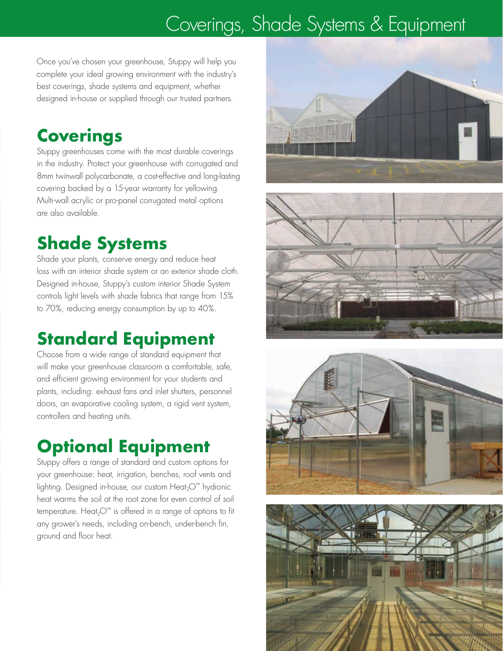# Coverings, Shade Systems & Equipment

Once you've chosen your greenhouse, Stuppy will help you complete your ideal growing environment with the industry's best coverings, shade systems and equipment, whether designed in-house or supplied through our trusted partners.

#### **Coverings**

Stuppy greenhouses come with the most durable coverings in the industry. Protect your greenhouse with corrugated and 8mm twinwall polycarbonate, a cost-effective and long-lasting covering backed by a 15-year warranty for yellowing. Multi-wall acrylic or pro-panel corrugated metal options are also available.

## **Shade Systems**

Shade your plants, conserve energy and reduce heat loss with an interior shade system or an exterior shade cloth. Designed in-house, Stuppy's custom interior Shade System controls light levels with shade fabrics that range from 15% to 70%, reducing energy consumption by up to 40%.

# **Standard Equipment**

Choose from a wide range of standard equipment that will make your greenhouse classroom a comfortable, safe, and efficient growing environment for your students and plants, including: exhaust fans and inlet shutters, personnel doors, an evaporative cooling system, a rigid vent system, controllers and heating units.

# **Optional Equipment**

Stuppy offers a range of standard and custom options for your greenhouse: heat, irrigation, benches, roof vents and lighting. Designed in-house, our custom Heat<sub>2</sub>O™ hydronic heat warms the soil at the root zone for even control of soil temperature. Heat<sub>2</sub>O<sup>™</sup> is offered in a range of options to fit any grower's needs, including on-bench, under-bench fin, ground and floor heat.